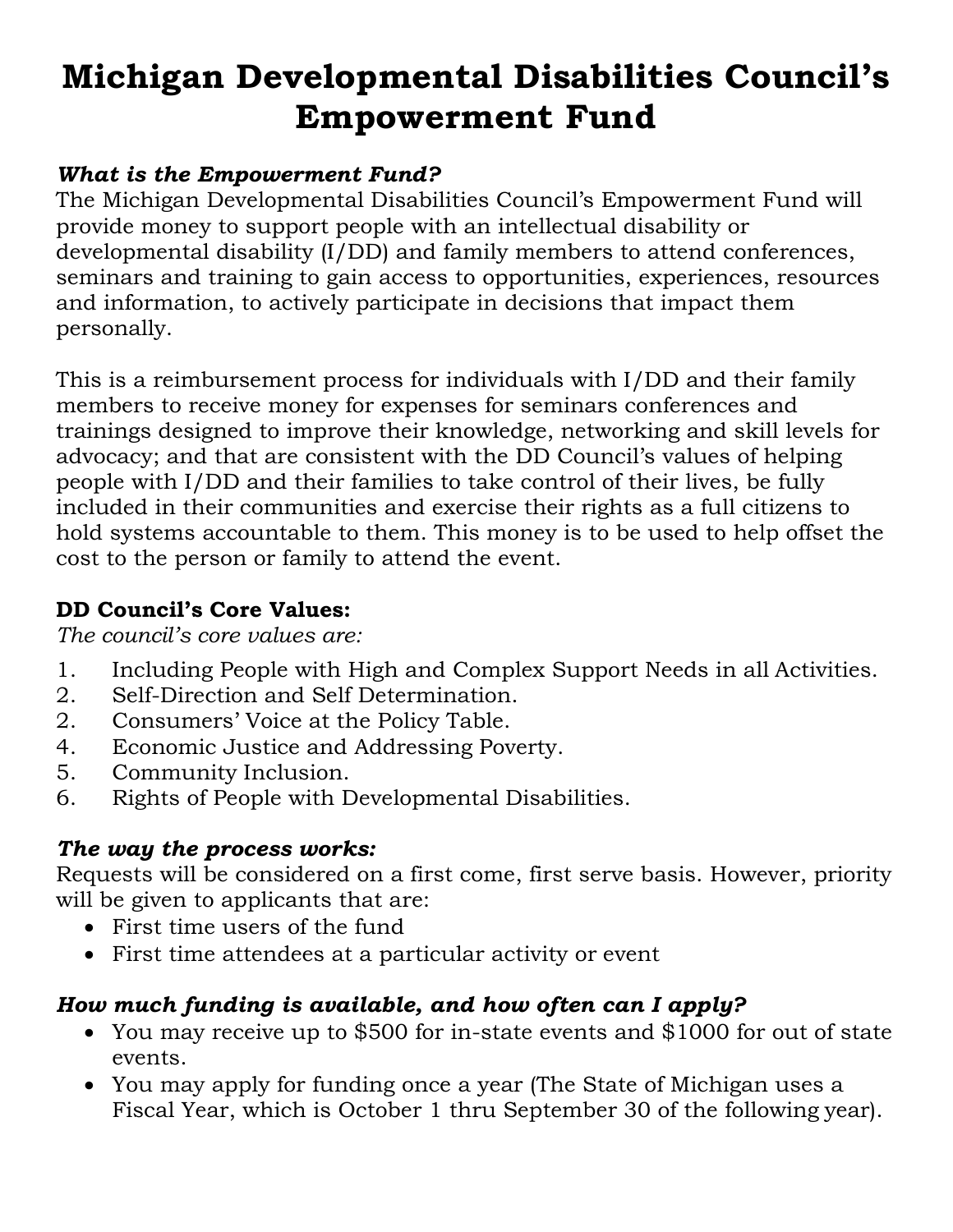# **Michigan Developmental Disabilities Council's Empowerment Fund**

#### *What is the Empowerment Fund?*

The Michigan Developmental Disabilities Council's Empowerment Fund will provide money to support people with an intellectual disability or developmental disability (I/DD) and family members to attend conferences, seminars and training to gain access to opportunities, experiences, resources and information, to actively participate in decisions that impact them personally.

This is a reimbursement process for individuals with I/DD and their family members to receive money for expenses for seminars conferences and trainings designed to improve their knowledge, networking and skill levels for advocacy; and that are consistent with the DD Council's values of helping people with I/DD and their families to take control of their lives, be fully included in their communities and exercise their rights as a full citizens to hold systems accountable to them. This money is to be used to help offset the cost to the person or family to attend the event.

#### **DD Council's Core Values:**

*The council's core values are:*

- 1. Including People with High and Complex Support Needs in all Activities.
- 2. Self-Direction and Self Determination.
- 2. Consumers' Voice at the Policy Table.
- 4. Economic Justice and Addressing Poverty.
- 5. Community Inclusion.
- 6. Rights of People with Developmental Disabilities.

#### *The way the process works:*

Requests will be considered on a first come, first serve basis. However, priority will be given to applicants that are:

- First time users of the fund
- First time attendees at a particular activity or event

#### *How much funding is available, and how often can I apply?*

- You may receive up to \$500 for in-state events and \$1000 for out of state events.
- You may apply for funding once a year (The State of Michigan uses a Fiscal Year, which is October 1 thru September 30 of the following year).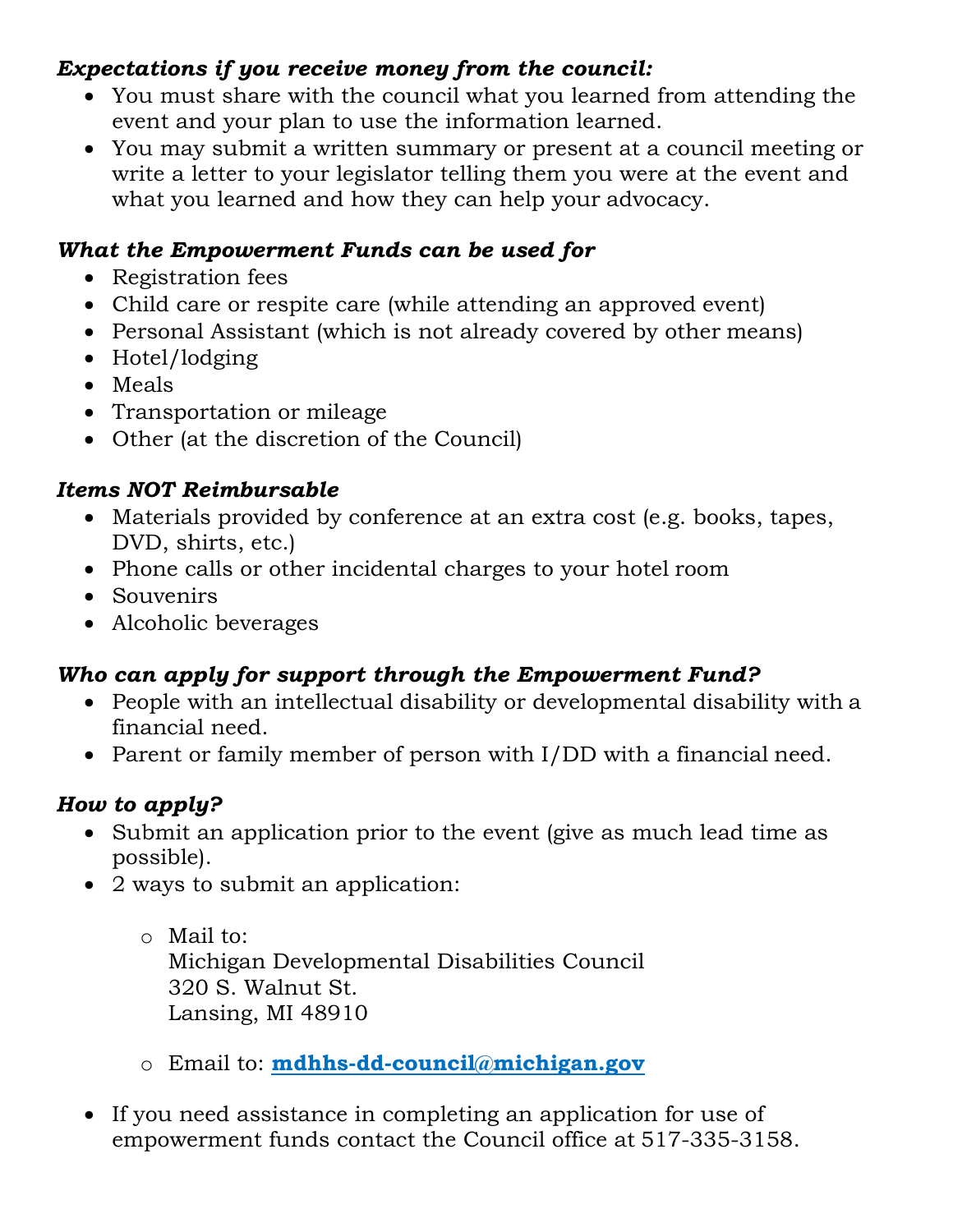#### *Expectations if you receive money from the council:*

- You must share with the council what you learned from attending the event and your plan to use the information learned.
- You may submit a written summary or present at a council meeting or write a letter to your legislator telling them you were at the event and what you learned and how they can help your advocacy.

#### *What the Empowerment Funds can be used for*

- Registration fees
- Child care or respite care (while attending an approved event)
- Personal Assistant (which is not already covered by other means)
- Hotel/lodging
- Meals
- Transportation or mileage
- Other (at the discretion of the Council)

#### *Items NOT Reimbursable*

- Materials provided by conference at an extra cost (e.g. books, tapes, DVD, shirts, etc.)
- Phone calls or other incidental charges to your hotel room
- Souvenirs
- Alcoholic beverages

### *Who can apply for support through the Empowerment Fund?*

- People with an intellectual disability or developmental disability with a financial need.
- Parent or family member of person with I/DD with a financial need.

#### *How to apply?*

- Submit an application prior to the event (give as much lead time as possible).
- 2 ways to submit an application:
	- o Mail to: Michigan Developmental Disabilities Council 320 S. Walnut St. Lansing, MI 48910
	- o Email to: **[mdhhs-dd-council@michigan.gov](mailto:mdhhs-dd-council@michigan.gov)**
- If you need assistance in completing an application for use of empowerment funds contact the Council office at 517-335-3158.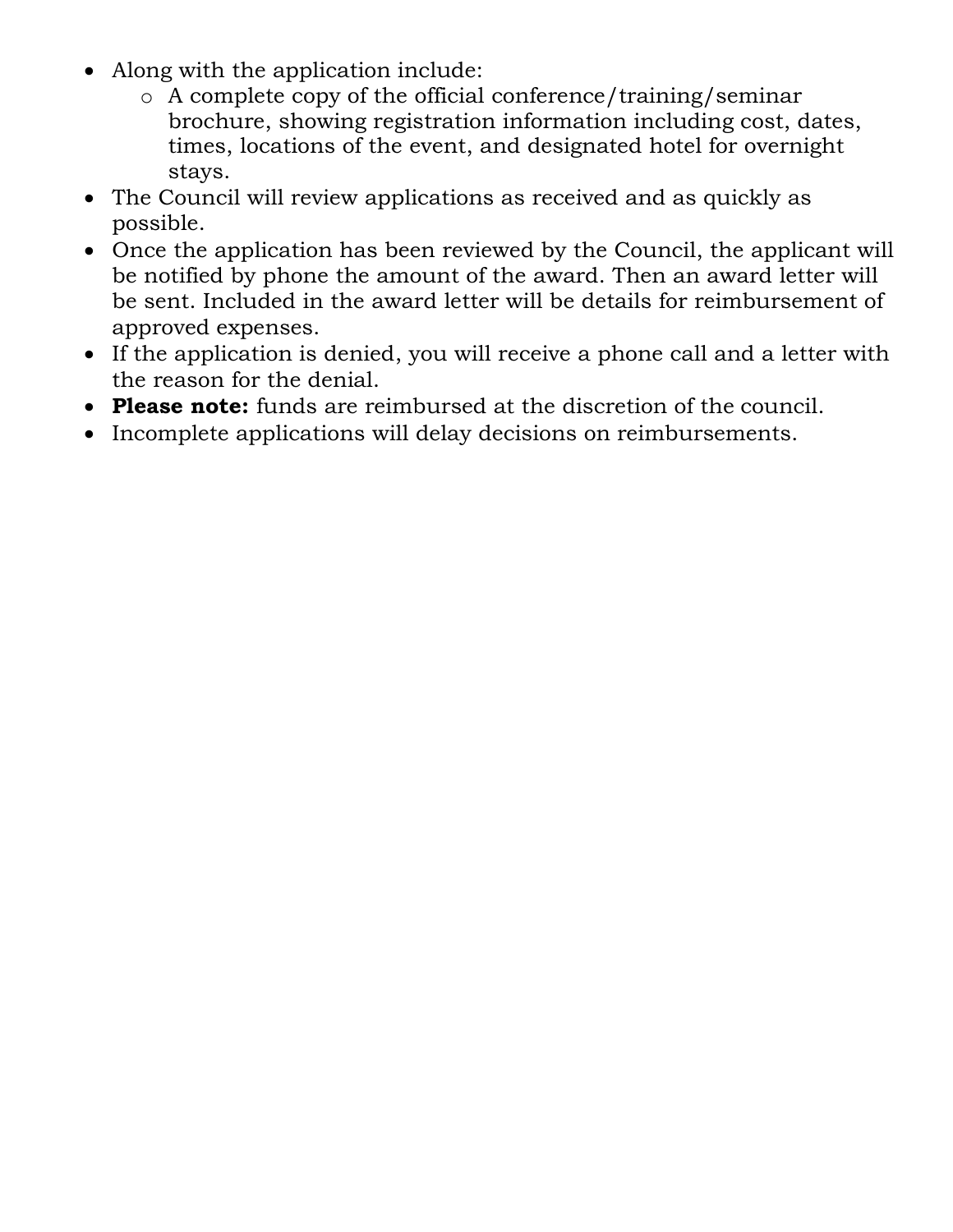- Along with the application include:
	- o A complete copy of the official conference/training/seminar brochure, showing registration information including cost, dates, times, locations of the event, and designated hotel for overnight stays.
- The Council will review applications as received and as quickly as possible.
- Once the application has been reviewed by the Council, the applicant will be notified by phone the amount of the award. Then an award letter will be sent. Included in the award letter will be details for reimbursement of approved expenses.
- If the application is denied, you will receive a phone call and a letter with the reason for the denial.
- **Please note:** funds are reimbursed at the discretion of the council.
- Incomplete applications will delay decisions on reimbursements.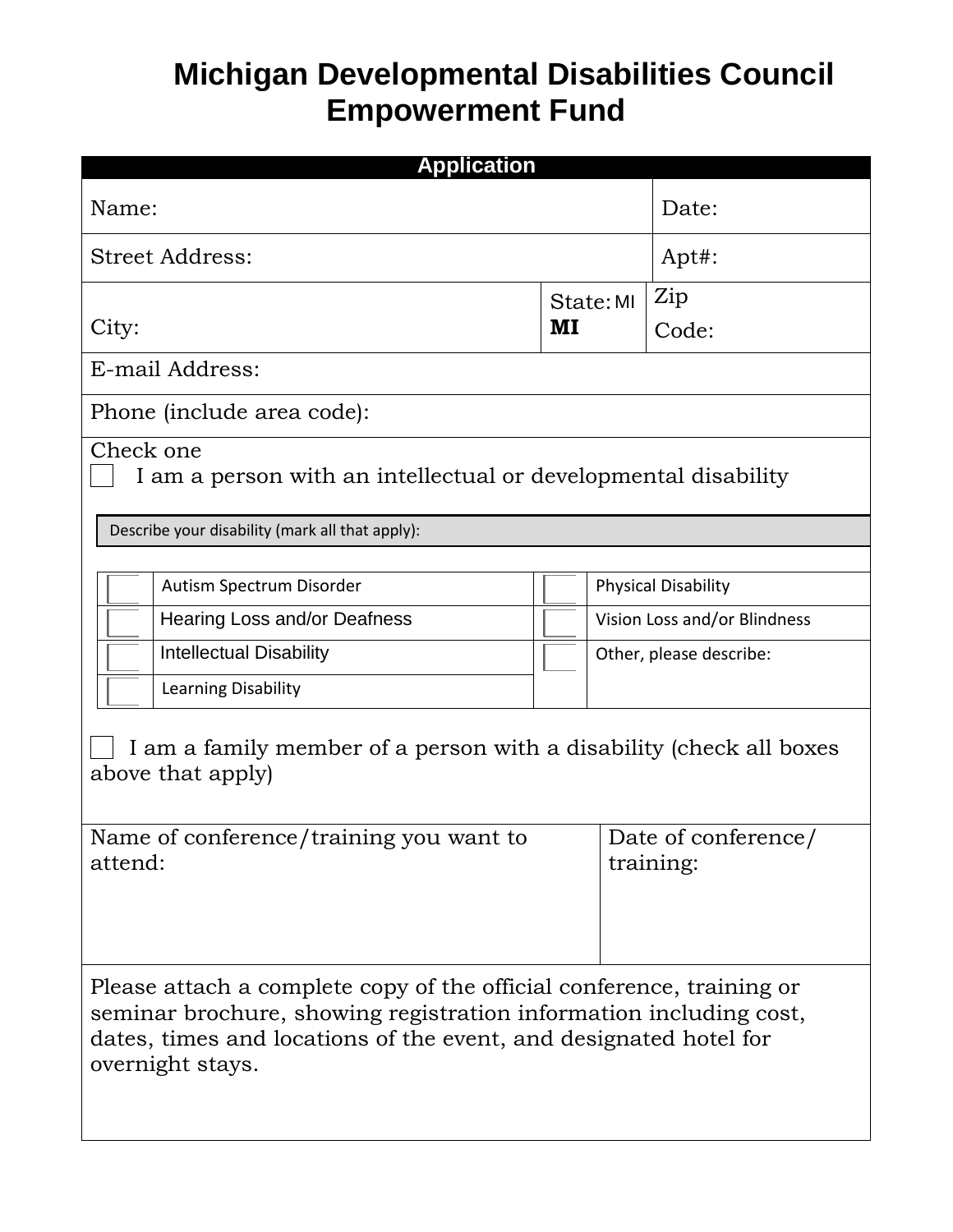## **Michigan Developmental Disabilities Council Empowerment Fund**

| <b>Application</b>                                                                                                                                                                                                                   |           |                                  |       |  |  |  |  |  |
|--------------------------------------------------------------------------------------------------------------------------------------------------------------------------------------------------------------------------------------|-----------|----------------------------------|-------|--|--|--|--|--|
| Name:                                                                                                                                                                                                                                |           |                                  | Date: |  |  |  |  |  |
| <b>Street Address:</b>                                                                                                                                                                                                               | Apt#:     |                                  |       |  |  |  |  |  |
|                                                                                                                                                                                                                                      | State: MI |                                  | Zip   |  |  |  |  |  |
| City:                                                                                                                                                                                                                                |           |                                  | Code: |  |  |  |  |  |
| E-mail Address:                                                                                                                                                                                                                      |           |                                  |       |  |  |  |  |  |
| Phone (include area code):                                                                                                                                                                                                           |           |                                  |       |  |  |  |  |  |
| Check one<br>I am a person with an intellectual or developmental disability                                                                                                                                                          |           |                                  |       |  |  |  |  |  |
| Describe your disability (mark all that apply):                                                                                                                                                                                      |           |                                  |       |  |  |  |  |  |
|                                                                                                                                                                                                                                      |           |                                  |       |  |  |  |  |  |
| Autism Spectrum Disorder                                                                                                                                                                                                             |           | <b>Physical Disability</b>       |       |  |  |  |  |  |
| Hearing Loss and/or Deafness                                                                                                                                                                                                         |           | Vision Loss and/or Blindness     |       |  |  |  |  |  |
| <b>Intellectual Disability</b>                                                                                                                                                                                                       |           | Other, please describe:          |       |  |  |  |  |  |
| Learning Disability                                                                                                                                                                                                                  |           |                                  |       |  |  |  |  |  |
| I am a family member of a person with a disability (check all boxes<br>above that apply)                                                                                                                                             |           |                                  |       |  |  |  |  |  |
| Name of conference/training you want to<br>attend:                                                                                                                                                                                   |           | Date of conference/<br>training: |       |  |  |  |  |  |
| Please attach a complete copy of the official conference, training or<br>seminar brochure, showing registration information including cost,<br>dates, times and locations of the event, and designated hotel for<br>overnight stays. |           |                                  |       |  |  |  |  |  |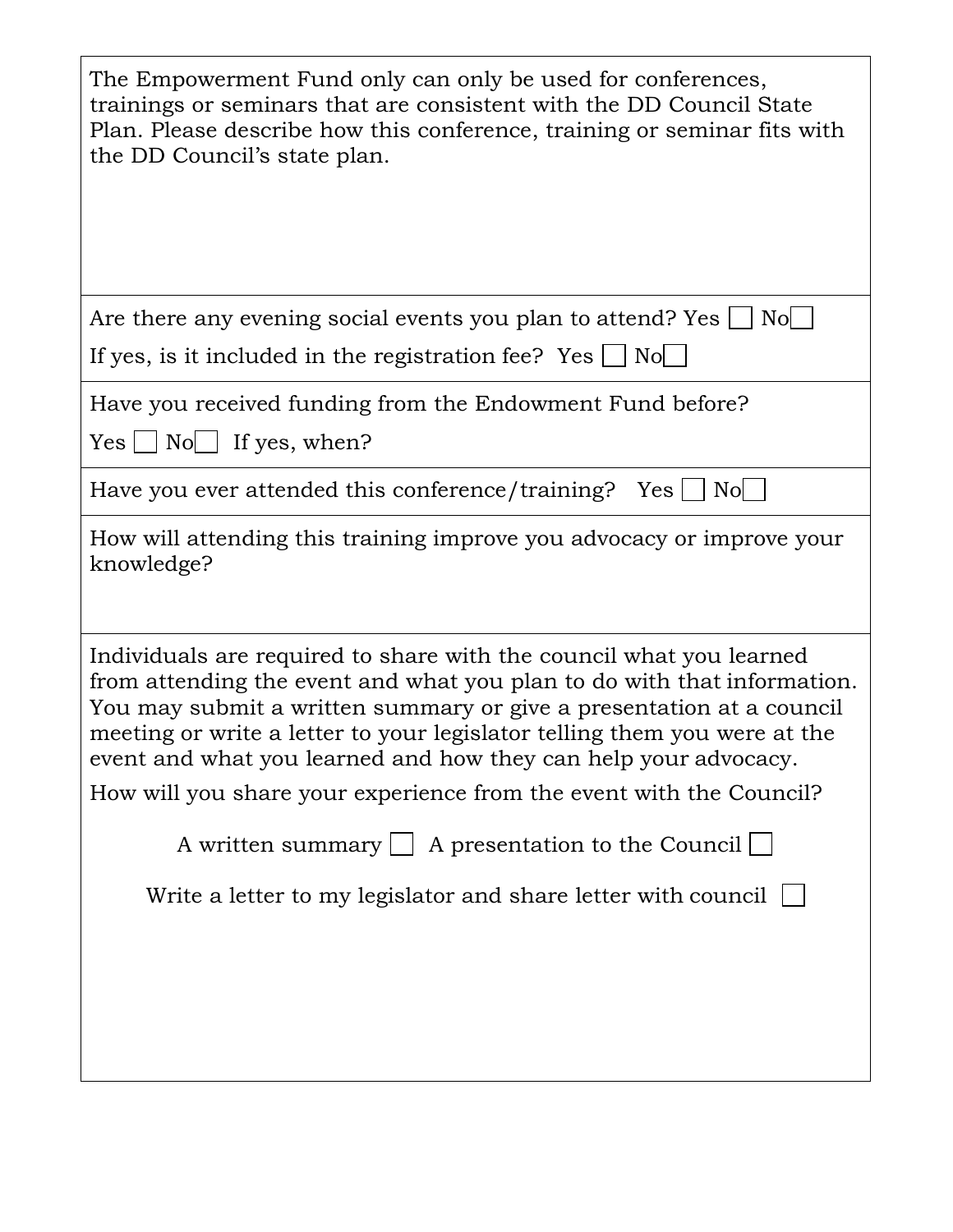| The Empowerment Fund only can only be used for conferences,<br>trainings or seminars that are consistent with the DD Council State<br>Plan. Please describe how this conference, training or seminar fits with<br>the DD Council's state plan.                                                                                                                         |  |  |  |  |  |  |  |
|------------------------------------------------------------------------------------------------------------------------------------------------------------------------------------------------------------------------------------------------------------------------------------------------------------------------------------------------------------------------|--|--|--|--|--|--|--|
| Are there any evening social events you plan to attend? Yes<br>Nol                                                                                                                                                                                                                                                                                                     |  |  |  |  |  |  |  |
| If yes, is it included in the registration fee? Yes $\Box$<br>No                                                                                                                                                                                                                                                                                                       |  |  |  |  |  |  |  |
| Have you received funding from the Endowment Fund before?                                                                                                                                                                                                                                                                                                              |  |  |  |  |  |  |  |
| $Yes \mid No \mid If yes, when?$                                                                                                                                                                                                                                                                                                                                       |  |  |  |  |  |  |  |
| Have you ever attended this conference/training? $Yes \cup No$                                                                                                                                                                                                                                                                                                         |  |  |  |  |  |  |  |
| How will attending this training improve you advocacy or improve your<br>knowledge?                                                                                                                                                                                                                                                                                    |  |  |  |  |  |  |  |
| Individuals are required to share with the council what you learned<br>from attending the event and what you plan to do with that information.<br>You may submit a written summary or give a presentation at a council<br>meeting or write a letter to your legislator telling them you were at the<br>event and what you learned and how they can help your advocacy. |  |  |  |  |  |  |  |
| How will you share your experience from the event with the Council?                                                                                                                                                                                                                                                                                                    |  |  |  |  |  |  |  |
| A written summary $\Box$ A presentation to the Council $\Box$                                                                                                                                                                                                                                                                                                          |  |  |  |  |  |  |  |
| Write a letter to my legislator and share letter with council $\lfloor$                                                                                                                                                                                                                                                                                                |  |  |  |  |  |  |  |
|                                                                                                                                                                                                                                                                                                                                                                        |  |  |  |  |  |  |  |